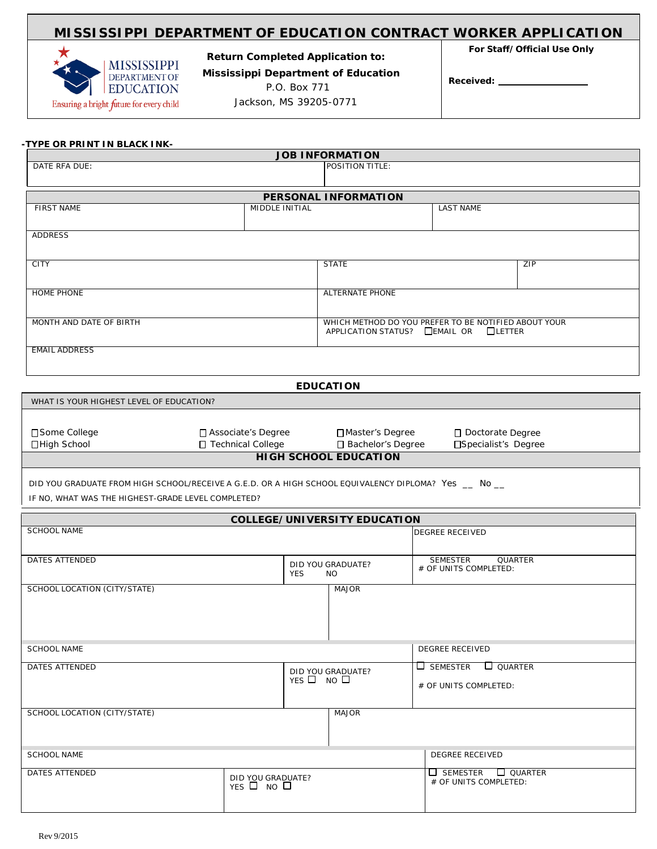## **MISSISSIPPI DEPARTMENT OF EDUCATION CONTRACT WORKER APPLICATION**



**For Staff/Official Use Only Return Completed Application to: Mississippi Department of Education**

P.O. Box 771

Jackson, MS 39205-0771

**Received:**

|                         |                | <b>JOB INFORMATION</b>                               |                                                   |                  |  |
|-------------------------|----------------|------------------------------------------------------|---------------------------------------------------|------------------|--|
| DATE RFA DUE:           |                | POSITION TITLE:                                      |                                                   |                  |  |
|                         |                |                                                      |                                                   |                  |  |
|                         |                | <b>PERSONAL INFORMATION</b>                          |                                                   |                  |  |
| <b>FIRST NAME</b>       | MIDDLE INITIAL |                                                      |                                                   | <b>LAST NAME</b> |  |
|                         |                |                                                      |                                                   |                  |  |
| ADDRESS                 |                |                                                      |                                                   |                  |  |
|                         |                |                                                      |                                                   |                  |  |
| <b>CITY</b>             |                | <b>STATE</b>                                         |                                                   | ZIP              |  |
|                         |                |                                                      |                                                   |                  |  |
|                         |                |                                                      |                                                   |                  |  |
| <b>HOME PHONE</b>       |                | <b>ALTERNATE PHONE</b>                               |                                                   |                  |  |
|                         |                |                                                      |                                                   |                  |  |
| MONTH AND DATE OF BIRTH |                | WHICH METHOD DO YOU PREFER TO BE NOTIFIED ABOUT YOUR |                                                   |                  |  |
|                         |                |                                                      | APPLICATION STATUS? $\Box$ EMAIL OR $\Box$ LETTER |                  |  |
| <b>EMAIL ADDRESS</b>    |                |                                                      |                                                   |                  |  |
|                         |                |                                                      |                                                   |                  |  |
|                         |                |                                                      |                                                   |                  |  |
|                         |                | <b>EDUCATION</b>                                     |                                                   |                  |  |

| WHAT IS YOUR HIGHEST LEVEL OF EDUCATION? |                      |                     |                      |  |
|------------------------------------------|----------------------|---------------------|----------------------|--|
|                                          |                      |                     |                      |  |
| □ Some College                           | □ Associate's Degree | □ Master's Degree   | □ Doctorate Degree   |  |
| □High School                             | □ Technical College  | □ Bachelor's Degree | □Specialist's Degree |  |
| <b>HIGH SCHOOL EDUCATION</b>             |                      |                     |                      |  |

DID YOU GRADUATE FROM HIGH SCHOOL/RECEIVE A G.E.D. OR A HIGH SCHOOL EQUIVALENCY DIPLOMA? Yes \_\_ No \_\_

IF NO, WHAT WAS THE HIGHEST-GRADE LEVEL COMPLETED?

| <b>COLLEGE/UNIVERSITY EDUCATION</b> |                                 |                                         |                                                            |
|-------------------------------------|---------------------------------|-----------------------------------------|------------------------------------------------------------|
| <b>SCHOOL NAME</b>                  |                                 |                                         | <b>DEGREE RECEIVED</b>                                     |
| <b>DATES ATTENDED</b><br><b>YES</b> |                                 | DID YOU GRADUATE?<br>NO.                | <b>SEMESTER</b><br><b>QUARTER</b><br># OF UNITS COMPLETED: |
| SCHOOL LOCATION (CITY/STATE)        |                                 | <b>MAJOR</b>                            |                                                            |
| <b>SCHOOL NAME</b>                  |                                 |                                         | <b>DEGREE RECEIVED</b>                                     |
| <b>DATES ATTENDED</b>               |                                 | DID YOU GRADUATE?<br>$YES \Box NO \Box$ | $\Box$ QUARTER<br>$\Box$ semester<br># OF UNITS COMPLETED: |
| SCHOOL LOCATION (CITY/STATE)        |                                 | <b>MAJOR</b>                            |                                                            |
| <b>SCHOOL NAME</b>                  |                                 |                                         | <b>DEGREE RECEIVED</b>                                     |
| <b>DATES ATTENDED</b>               | DID YOU GRADUATE?<br>YES O NO O |                                         | $\Box$ SEMESTER<br>$\Box$ QUARTER<br># OF UNITS COMPLETED: |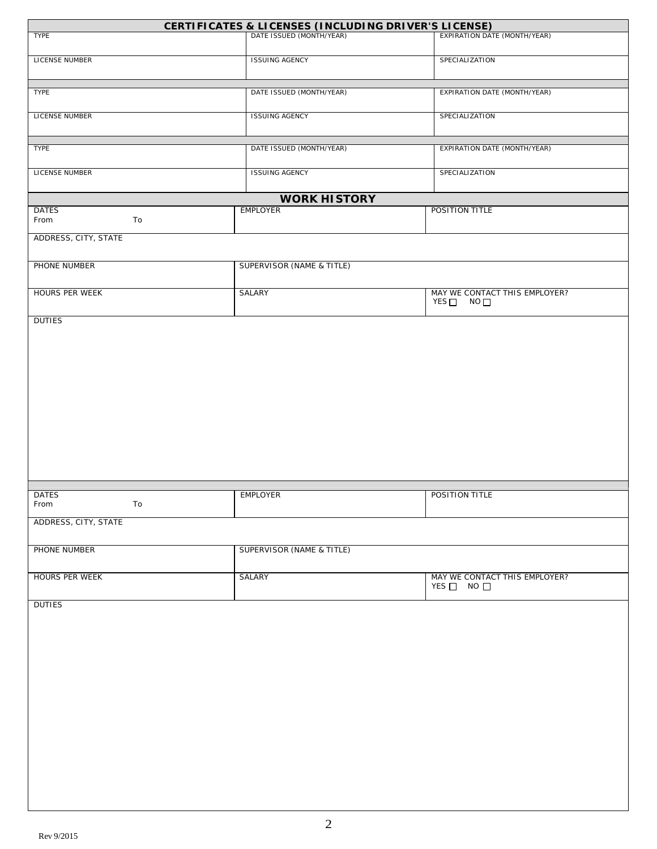|                            | CERTIFICATES & LICENSES (INCLUDING DRIVER'S LICENSE) |                                                  |
|----------------------------|------------------------------------------------------|--------------------------------------------------|
| TYPE                       | DATE ISSUED (MONTH/YEAR)                             | <b>EXPIRATION DATE (MONTH/YEAR)</b>              |
| LICENSE NUMBER             | <b>ISSUING AGENCY</b>                                | SPECIALIZATION                                   |
| TYPE                       | DATE ISSUED (MONTH/YEAR)                             | EXPIRATION DATE (MONTH/YEAR)                     |
| <b>LICENSE NUMBER</b>      | <b>ISSUING AGENCY</b>                                | SPECIALIZATION                                   |
| TYPE                       | DATE ISSUED (MONTH/YEAR)                             | <b>EXPIRATION DATE (MONTH/YEAR)</b>              |
| LICENSE NUMBER             | <b>ISSUING AGENCY</b>                                | SPECIALIZATION                                   |
|                            | <b>WORK HISTORY</b>                                  |                                                  |
| <b>DATES</b><br>From<br>To | <b>EMPLOYER</b>                                      | POSITION TITLE                                   |
| ADDRESS, CITY, STATE       |                                                      |                                                  |
| PHONE NUMBER               | SUPERVISOR (NAME & TITLE)                            |                                                  |
| <b>HOURS PER WEEK</b>      | SALARY                                               | MAY WE CONTACT THIS EMPLOYER?<br>YES□ NO□        |
|                            |                                                      |                                                  |
| <b>DATES</b><br>To<br>From | <b>EMPLOYER</b>                                      | POSITION TITLE                                   |
| ADDRESS, CITY, STATE       |                                                      |                                                  |
| PHONE NUMBER               | SUPERVISOR (NAME & TITLE)                            |                                                  |
| <b>HOURS PER WEEK</b>      | <b>SALARY</b>                                        | MAY WE CONTACT THIS EMPLOYER?<br>$YES$ NO $\Box$ |
| <b>DUTIES</b>              |                                                      |                                                  |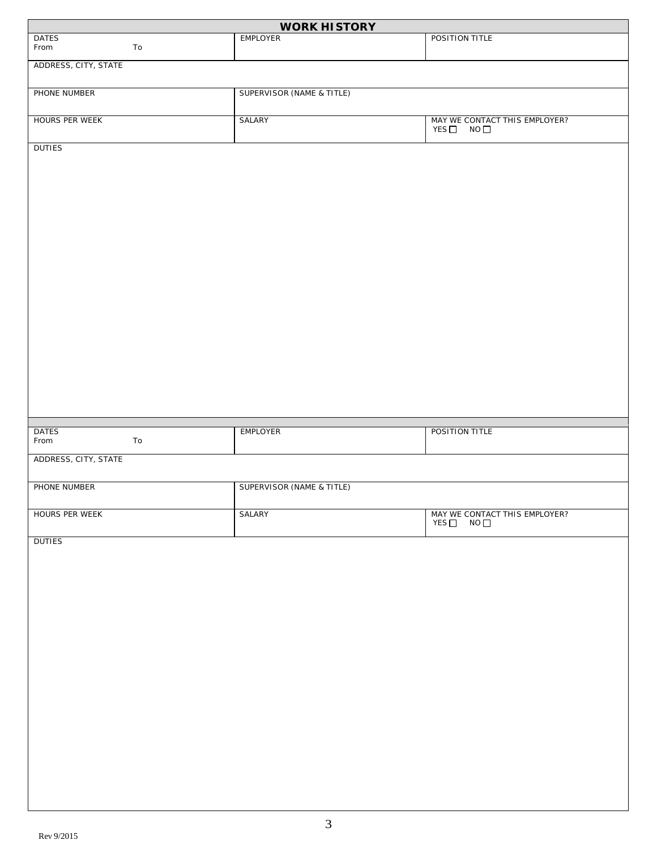|                      |            | <b>WORK HISTORY</b>                  |                                                                         |
|----------------------|------------|--------------------------------------|-------------------------------------------------------------------------|
| <b>DATES</b><br>From | To         | <b>EMPLOYER</b>                      | POSITION TITLE                                                          |
| ADDRESS, CITY, STATE |            |                                      |                                                                         |
| PHONE NUMBER         |            | <b>SUPERVISOR (NAME &amp; TITLE)</b> |                                                                         |
| HOURS PER WEEK       |            | SALARY                               | MAY WE CONTACT THIS EMPLOYER?<br>YES <sup>[10]</sup> NO <sup>[11]</sup> |
| <b>DUTIES</b>        |            |                                      |                                                                         |
|                      |            |                                      |                                                                         |
|                      |            |                                      |                                                                         |
|                      |            |                                      |                                                                         |
|                      |            |                                      |                                                                         |
|                      |            |                                      |                                                                         |
|                      |            |                                      |                                                                         |
|                      |            |                                      |                                                                         |
|                      |            |                                      |                                                                         |
|                      |            |                                      |                                                                         |
|                      |            |                                      |                                                                         |
|                      |            |                                      |                                                                         |
| <b>DATES</b><br>From | ${\tt To}$ | EMPLOYER                             | POSITION TITLE                                                          |
| ADDRESS, CITY, STATE |            |                                      |                                                                         |
| PHONE NUMBER         |            | SUPERVISOR (NAME & TITLE)            |                                                                         |
| HOURS PER WEEK       |            | <b>SALARY</b>                        | MAY WE CONTACT THIS EMPLOYER?<br>YES $\Box$ NO $\Box$                   |
| <b>DUTIES</b>        |            |                                      |                                                                         |
|                      |            |                                      |                                                                         |
|                      |            |                                      |                                                                         |
|                      |            |                                      |                                                                         |
|                      |            |                                      |                                                                         |
|                      |            |                                      |                                                                         |
|                      |            |                                      |                                                                         |
|                      |            |                                      |                                                                         |
|                      |            |                                      |                                                                         |
|                      |            |                                      |                                                                         |